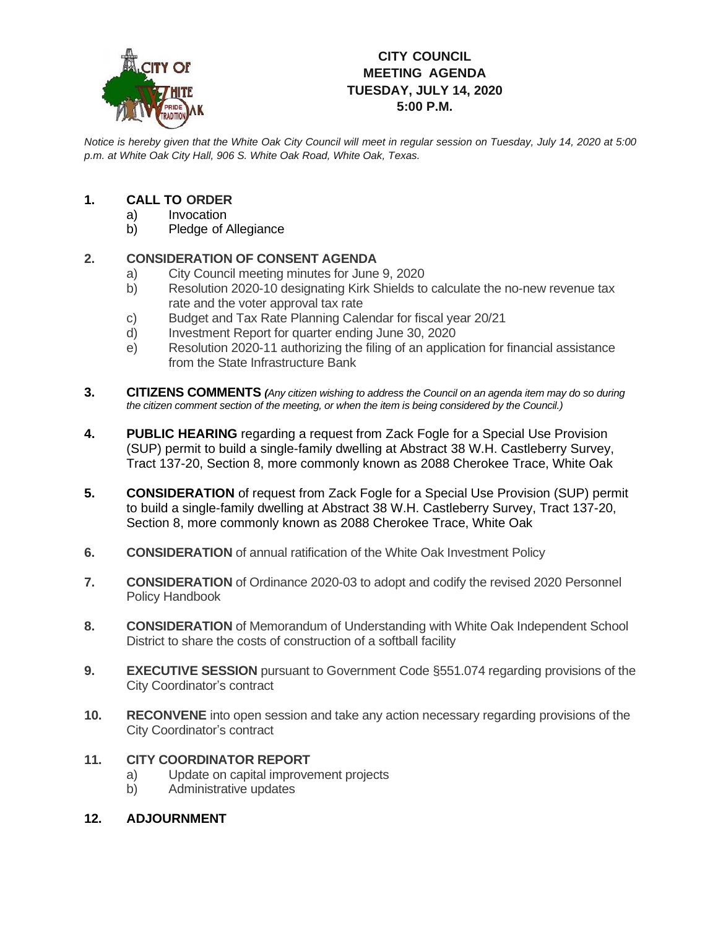

## **CITY COUNCIL MEETING AGENDA TUESDAY, JULY 14, 2020 5:00 P.M.**

*Notice is hereby given that the White Oak City Council will meet in regular session on Tuesday, July 14, 2020 at 5:00 p.m. at White Oak City Hall, 906 S. White Oak Road, White Oak, Texas.*

## **1. CALL TO ORDER**

- a) Invocation
- b) Pledge of Allegiance

## **2. CONSIDERATION OF CONSENT AGENDA**

- a) City Council meeting minutes for June 9, 2020
- b) Resolution 2020-10 designating Kirk Shields to calculate the no-new revenue tax rate and the voter approval tax rate
- c) Budget and Tax Rate Planning Calendar for fiscal year 20/21
- d) Investment Report for quarter ending June 30, 2020
- e) Resolution 2020-11 authorizing the filing of an application for financial assistance from the State Infrastructure Bank
- **3. CITIZENS COMMENTS** *(Any citizen wishing to address the Council on an agenda item may do so during the citizen comment section of the meeting, or when the item is being considered by the Council.)*
- **4. PUBLIC HEARING** regarding a request from Zack Fogle for a Special Use Provision (SUP) permit to build a single-family dwelling at Abstract 38 W.H. Castleberry Survey, Tract 137-20, Section 8, more commonly known as 2088 Cherokee Trace, White Oak
- **5. CONSIDERATION** of request from Zack Fogle for a Special Use Provision (SUP) permit to build a single-family dwelling at Abstract 38 W.H. Castleberry Survey, Tract 137-20, Section 8, more commonly known as 2088 Cherokee Trace, White Oak
- **6. CONSIDERATION** of annual ratification of the White Oak Investment Policy
- **7. CONSIDERATION** of Ordinance 2020-03 to adopt and codify the revised 2020 Personnel Policy Handbook
- **8. CONSIDERATION** of Memorandum of Understanding with White Oak Independent School District to share the costs of construction of a softball facility
- **9. EXECUTIVE SESSION** pursuant to Government Code §551.074 regarding provisions of the City Coordinator's contract
- **10. RECONVENE** into open session and take any action necessary regarding provisions of the City Coordinator's contract

## **11. CITY COORDINATOR REPORT**

- a) Update on capital improvement projects
- b) Administrative updates
- **12. ADJOURNMENT**